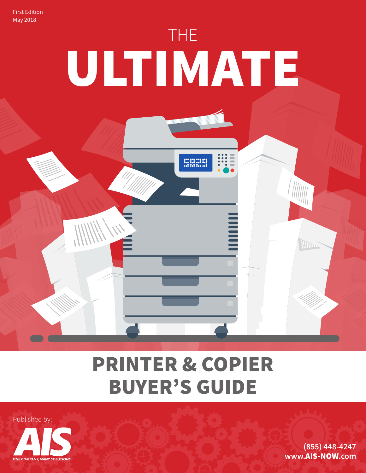First Edition May 2018



## PRINTER & COPIER BUYER'S GUIDE



**www.**[AIS-NOW](https://www.ais-now.com/)**.com [\(855\) 448-4247](https://www.ais-now.com/)**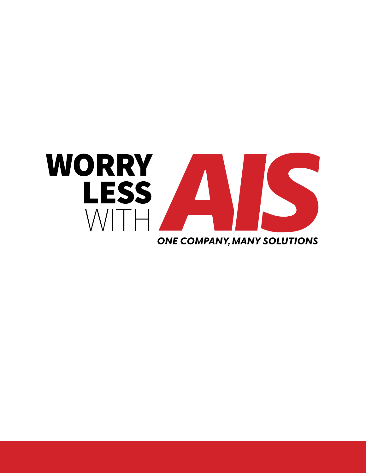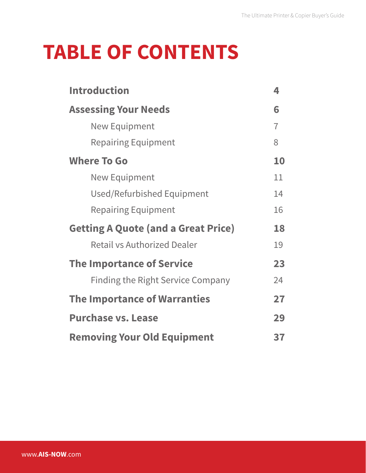## **TABLE OF CONTENTS**

| <b>Introduction</b>                        | 4              |
|--------------------------------------------|----------------|
| <b>Assessing Your Needs</b>                | 6              |
| <b>New Equipment</b>                       | $\overline{7}$ |
| <b>Repairing Equipment</b>                 | 8              |
| <b>Where To Go</b>                         | 10             |
| <b>New Equipment</b>                       | 11             |
| Used/Refurbished Equipment                 | 14             |
| <b>Repairing Equipment</b>                 | 16             |
| <b>Getting A Quote (and a Great Price)</b> | 18             |
| <b>Retail vs Authorized Dealer</b>         | 19             |
| <b>The Importance of Service</b>           | 23             |
| <b>Finding the Right Service Company</b>   | 24             |
| <b>The Importance of Warranties</b>        | 27             |
| <b>Purchase vs. Lease</b>                  | 29             |
| <b>Removing Your Old Equipment</b>         | 37             |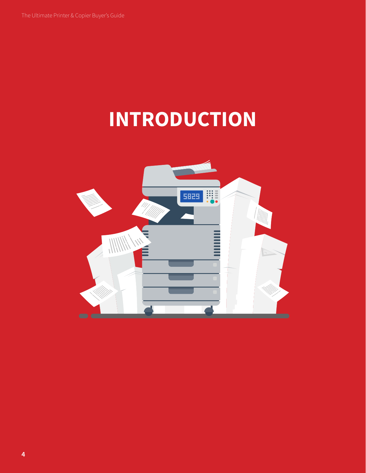# **INTRODUCTION**

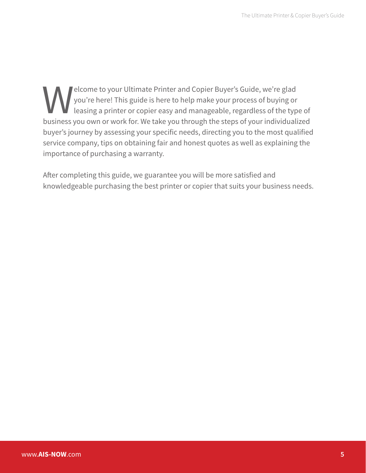Solution of the Printer and Copier Buyer's Guide, we're glad you're here! This guide is here to help make your process of buying or leasing a printer or copier easy and manageable, regardless of the typ business you own or you're here! This guide is here to help make your process of buying or leasing a printer or copier easy and manageable, regardless of the type of business you own or work for. We take you through the steps of your individualized buyer's journey by assessing your specific needs, directing you to the most qualified service company, tips on obtaining fair and honest quotes as well as explaining the importance of purchasing a warranty.

After completing this guide, we guarantee you will be more satisfied and knowledgeable purchasing the best printer or copier that suits your business needs.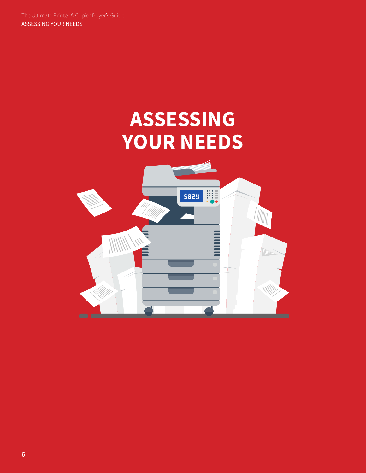## **ASSESSING YOUR NEEDS**

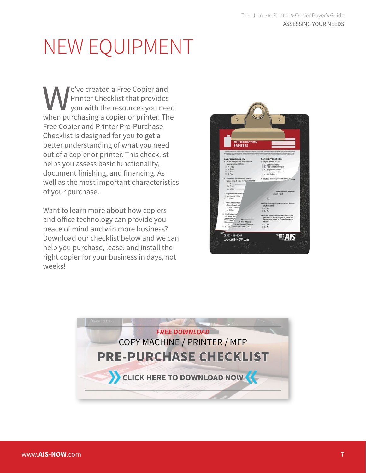We've created a Free Copier and<br>
Printer Checklist that provides<br>
when purchasing a copier or printer. The Printer Checklist that provides you with the resources you need Free Copier and Printer Pre-Purchase Checklist is designed for you to get a better understanding of what you need out of a copier or printer. This checklist helps you assess basic functionality, document finishing, and financing. As well as the most important characteristics of your purchase.

Want to learn more about how copiers and office technology can provide you peace of mind and win more business? Download our checklist below and we can help you purchase, lease, and install the right copier for your business in days, not weeks!



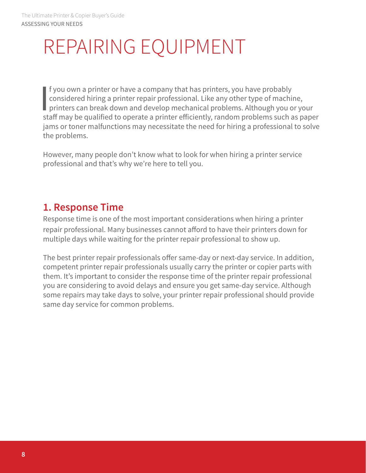## REPAIRING EQUIPMENT

|<br>|<br>|<br>|<br>| f you own a printer or have a company that has printers, you have probably considered hiring a printer repair professional. Like any other type of machine, printers can break down and develop mechanical problems. Although you or your staff may be qualified to operate a printer efficiently, random problems such as paper jams or toner malfunctions may necessitate the need for hiring a professional to solve the problems.

However, many people don't know what to look for when hiring a printer service professional and that's why we're here to tell you.

### **1. Response Time**

Response time is one of the most important considerations when hiring a printer repair professional. Many businesses cannot afford to have their printers down for multiple days while waiting for the printer repair professional to show up.

The best printer repair professionals offer same-day or next-day service. In addition, competent printer repair professionals usually carry the printer or copier parts with them. It's important to consider the response time of the printer repair professional you are considering to avoid delays and ensure you get same-day service. Although some repairs may take days to solve, your printer repair professional should provide same day service for common problems.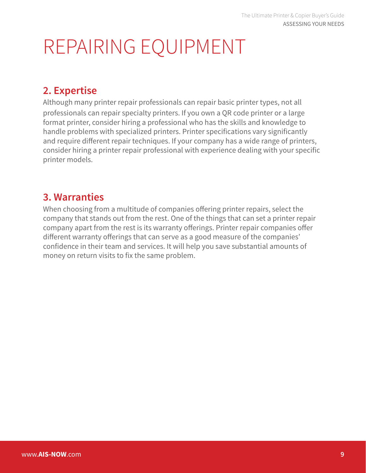## REPAIRING EQUIPMENT

### **2. Expertise**

Although many printer repair professionals can repair basic printer types, not all professionals can repair specialty printers. If you own a QR code printer or a large format printer, consider hiring a professional who has the skills and knowledge to handle problems with specialized printers. Printer specifications vary significantly and require different repair techniques. If your company has a wide range of printers, consider hiring a printer repair professional with experience dealing with your specific printer models.

### **3. Warranties**

When choosing from a multitude of companies offering printer repairs, select the company that stands out from the rest. One of the things that can set a printer repair company apart from the rest is its warranty offerings. Printer repair companies offer different warranty offerings that can serve as a good measure of the companies' confidence in their team and services. It will help you save substantial amounts of money on return visits to fix the same problem.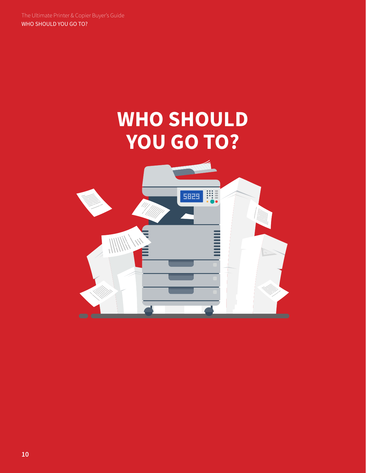## **WHO SHOULD YOU GO TO?**

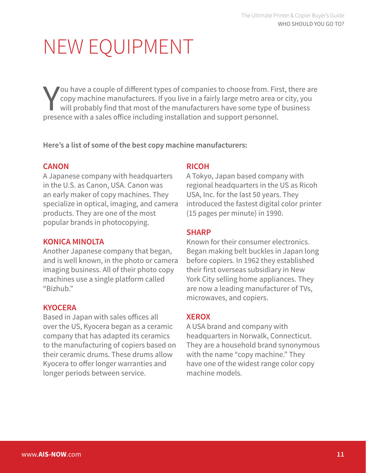You have a couple of different types of companies to choose from. Fir copy machine manufacturers. If you live in a fairly large metro area could will probably find that most of the manufacturers have some type of presence ou have a couple of different types of companies to choose from. First, there are copy machine manufacturers. If you live in a fairly large metro area or city, you will probably find that most of the manufacturers have some type of business

**Here's a list of some of the best copy machine manufacturers:**

#### **CANON**

A Japanese company with headquarters in the U.S. as Canon, USA. Canon was an early maker of copy machines. They specialize in optical, imaging, and camera products. They are one of the most popular brands in photocopying.

#### **KONICA MINOLTA**

Another Japanese company that began, and is well known, in the photo or camera imaging business. All of their photo copy machines use a single platform called "Bizhub."

#### **KYOCERA**

Based in Japan with sales offices all over the US, Kyocera began as a ceramic company that has adapted its ceramics to the manufacturing of copiers based on their ceramic drums. These drums allow Kyocera to offer longer warranties and longer periods between service.

#### **RICOH**

A Tokyo, Japan based company with regional headquarters in the US as Ricoh USA, Inc. for the last 50 years. They introduced the fastest digital color printer (15 pages per minute) in 1990.

#### **SHARP**

Known for their consumer electronics. Began making belt buckles in Japan long before copiers. In 1962 they established their first overseas subsidiary in New York City selling home appliances. They are now a leading manufacturer of TVs, microwaves, and copiers.

#### **XEROX**

A USA brand and company with headquarters in Norwalk, Connecticut. They are a household brand synonymous with the name "copy machine." They have one of the widest range color copy machine models.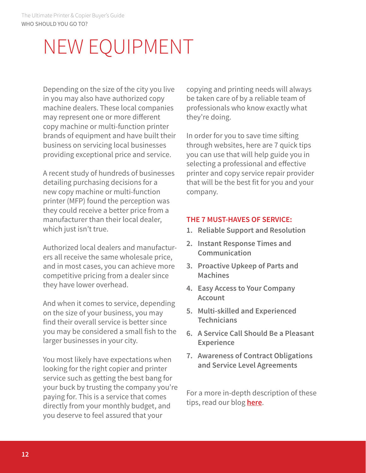Depending on the size of the city you live in you may also have authorized copy machine dealers. These local companies may represent one or more different copy machine or multi-function printer brands of equipment and have built their business on servicing local businesses providing exceptional price and service.

A recent study of hundreds of businesses detailing purchasing decisions for a new copy machine or multi-function printer (MFP) found the perception was they could receive a better price from a manufacturer than their local dealer, which just isn't true.

Authorized local dealers and manufacturers all receive the same wholesale price, and in most cases, you can achieve more competitive pricing from a dealer since they have lower overhead.

And when it comes to service, depending on the size of your business, you may find their overall service is better since you may be considered a small fish to the larger businesses in your city.

You most likely have expectations when looking for the right copier and printer service such as getting the best bang for your buck by trusting the company you're paying for. This is a service that comes directly from your monthly budget, and you deserve to feel assured that your

copying and printing needs will always be taken care of by a reliable team of professionals who know exactly what they're doing.

In order for you to save time sifting through websites, here are 7 quick tips you can use that will help guide you in selecting a professional and effective printer and copy service repair provider that will be the best fit for you and your company.

#### **THE 7 MUST-HAVES OF SERVICE:**

- **1. Reliable Support and Resolution**
- **2. Instant Response Times and Communication**
- **3. Proactive Upkeep of Parts and Machines**
- **4. Easy Access to Your Company Account**
- **5. Multi-skilled and Experienced Technicians**
- **6. A Service Call Should Be a Pleasant Experience**
- **7. Awareness of Contract Obligations and Service Level Agreements**

For a more in-depth description of these tips, read our blog **[here](https://www.ais-now.com/blog/choosing-the-best-copier-printer-service-7-must-haves)**.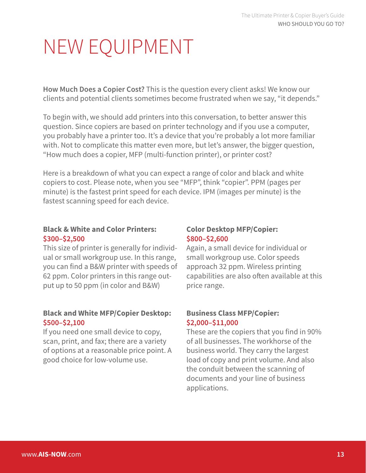**How Much Does a Copier Cost?** This is the question every client asks! We know our clients and potential clients sometimes become frustrated when we say, "it depends."

To begin with, we should add printers into this conversation, to better answer this question. Since copiers are based on printer technology and if you use a computer, you probably have a printer too. It's a device that you're probably a lot more familiar with. Not to complicate this matter even more, but let's answer, the bigger question, "How much does a copier, MFP (multi-function printer), or printer cost?

Here is a breakdown of what you can expect a range of color and black and white copiers to cost. Please note, when you see "MFP", think "copier". PPM (pages per minute) is the fastest print speed for each device. IPM (images per minute) is the fastest scanning speed for each device.

#### **Black & White and Color Printers: \$300–\$2,500**

This size of printer is generally for individual or small workgroup use. In this range, you can find a B&W printer with speeds of 62 ppm. Color printers in this range output up to 50 ppm (in color and B&W)

#### **Black and White MFP/Copier Desktop: \$500–\$2,100**

If you need one small device to copy, scan, print, and fax; there are a variety of options at a reasonable price point. A good choice for low-volume use.

#### **Color Desktop MFP/Copier: \$800–\$2,600**

Again, a small device for individual or small workgroup use. Color speeds approach 32 ppm. Wireless printing capabilities are also often available at this price range.

#### **Business Class MFP/Copier: \$2,000–\$11,000**

These are the copiers that you find in 90% of all businesses. The workhorse of the business world. They carry the largest load of copy and print volume. And also the conduit between the scanning of documents and your line of business applications.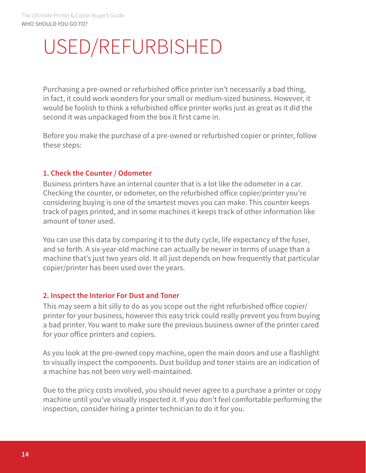## USED/REFURBISHED

Purchasing a pre-owned or refurbished office printer isn't necessarily a bad thing, in fact, it could work wonders for your small or medium-sized business. However, it would be foolish to think a refurbished office printer works just as great as it did the second it was unpackaged from the box it first came in.

Before you make the purchase of a pre-owned or refurbished copier or printer, follow these steps:

#### **1. Check the Counter / Odometer**

Business printers have an internal counter that is a lot like the odometer in a car. Checking the counter, or odometer, on the refurbished office copier/printer you're considering buying is one of the smartest moves you can make. This counter keeps track of pages printed, and in some machines it keeps track of other information like amount of toner used.

You can use this data by comparing it to the duty cycle, life expectancy of the fuser, and so forth. A six-year-old machine can actually be newer in terms of usage than a machine that's just two years old. It all just depends on how frequently that particular copier/printer has been used over the years.

#### **2. Inspect the Interior For Dust and Toner**

This may seem a bit silly to do as you scope out the right refurbished office copier/ printer for your business, however this easy trick could really prevent you from buying a bad printer. You want to make sure the previous business owner of the printer cared for your office printers and copiers.

As you look at the pre-owned copy machine, open the main doors and use a flashlight to visually inspect the components. Dust buildup and toner stains are an indication of a machine has not been very well-maintained.

Due to the pricy costs involved, you should never agree to a purchase a printer or copy machine until you've visually inspected it. If you don't feel comfortable performing the inspection, consider hiring a printer technician to do it for you.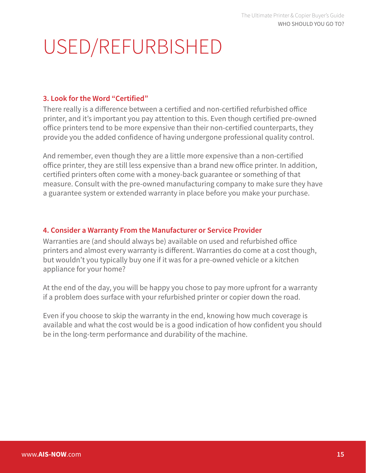# USED/REFURBISHED

#### **3. Look for the Word "Certified"**

There really is a difference between a certified and non-certified refurbished office printer, and it's important you pay attention to this. Even though certified pre-owned office printers tend to be more expensive than their non-certified counterparts, they provide you the added confidence of having undergone professional quality control.

And remember, even though they are a little more expensive than a non-certified office printer, they are still less expensive than a brand new office printer. In addition, certified printers often come with a money-back guarantee or something of that measure. Consult with the pre-owned manufacturing company to make sure they have a guarantee system or extended warranty in place before you make your purchase.

#### **4. Consider a Warranty From the Manufacturer or Service Provider**

Warranties are (and should always be) available on used and refurbished office printers and almost every warranty is different. Warranties do come at a cost though, but wouldn't you typically buy one if it was for a pre-owned vehicle or a kitchen appliance for your home?

At the end of the day, you will be happy you chose to pay more upfront for a warranty if a problem does surface with your refurbished printer or copier down the road.

Even if you choose to skip the warranty in the end, knowing how much coverage is available and what the cost would be is a good indication of how confident you should be in the long-term performance and durability of the machine.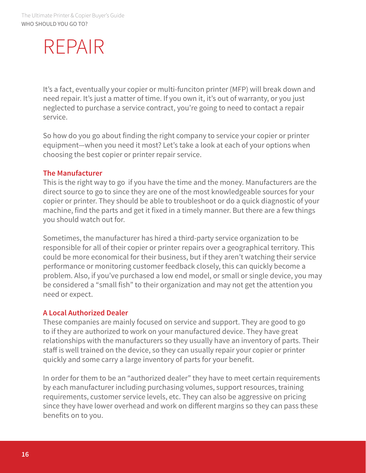## REPAIR

It's a fact, eventually your copier or multi-funciton printer (MFP) will break down and need repair. It's just a matter of time. If you own it, it's out of warranty, or you just neglected to purchase a service contract, you're going to need to contact a repair service.

So how do you go about finding the right company to service your copier or printer equipment—when you need it most? Let's take a look at each of your options when choosing the best copier or printer repair service.

#### **The Manufacturer**

This is the right way to go if you have the time and the money. Manufacturers are the direct source to go to since they are one of the most knowledgeable sources for your copier or printer. They should be able to troubleshoot or do a quick diagnostic of your machine, find the parts and get it fixed in a timely manner. But there are a few things you should watch out for.

Sometimes, the manufacturer has hired a third-party service organization to be responsible for all of their copier or printer repairs over a geographical territory. This could be more economical for their business, but if they aren't watching their service performance or monitoring customer feedback closely, this can quickly become a problem. Also, if you've purchased a low end model, or small or single device, you may be considered a "small fish" to their organization and may not get the attention you need or expect.

#### **A Local Authorized Dealer**

These companies are mainly focused on service and support. They are good to go to if they are authorized to work on your manufactured device. They have great relationships with the manufacturers so they usually have an inventory of parts. Their staff is well trained on the device, so they can usually repair your copier or printer quickly and some carry a large inventory of parts for your benefit.

In order for them to be an "authorized dealer" they have to meet certain requirements by each manufacturer including purchasing volumes, support resources, training requirements, customer service levels, etc. They can also be aggressive on pricing since they have lower overhead and work on different margins so they can pass these benefits on to you.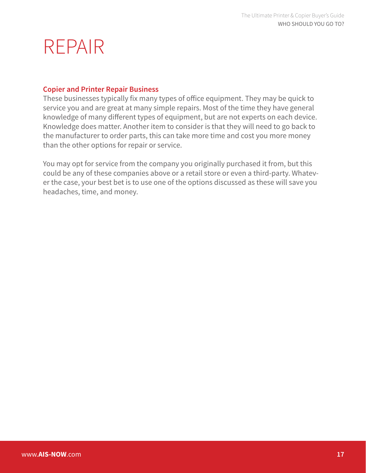### REPAIR

#### **Copier and Printer Repair Business**

These businesses typically fix many types of office equipment. They may be quick to service you and are great at many simple repairs. Most of the time they have general knowledge of many different types of equipment, but are not experts on each device. Knowledge does matter. Another item to consider is that they will need to go back to the manufacturer to order parts, this can take more time and cost you more money than the other options for repair or service.

You may opt for service from the company you originally purchased it from, but this could be any of these companies above or a retail store or even a third-party. Whatever the case, your best bet is to use one of the options discussed as these will save you headaches, time, and money.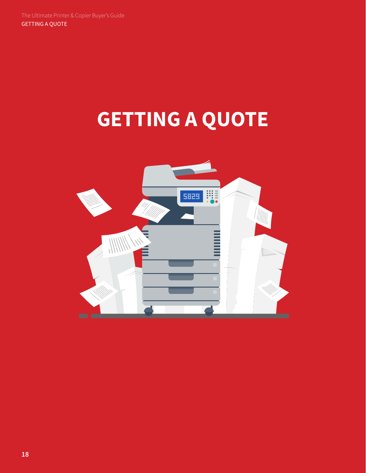# **GETTING A QUOTE**

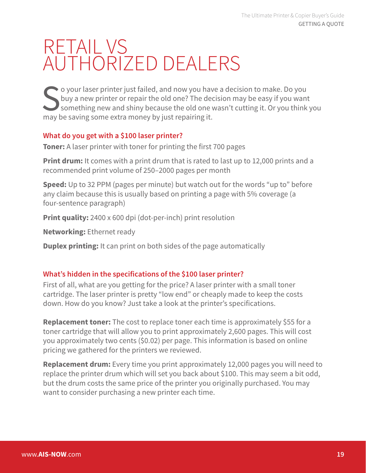So your laser printer just failed, and now you have a decision to make. Do you buy a new printer or repair the old one? The decision may be easy if you want something new and shiny because the old one wasn't cutting it. Or buy a new printer or repair the old one? The decision may be easy if you want something new and shiny because the old one wasn't cutting it. Or you think you may be saving some extra money by just repairing it.

#### **What do you get with a \$100 laser printer?**

**Toner:** A laser printer with toner for printing the first 700 pages

**Print drum:** It comes with a print drum that is rated to last up to 12,000 prints and a recommended print volume of 250–2000 pages per month

**Speed:** Up to 32 PPM (pages per minute) but watch out for the words "up to" before any claim because this is usually based on printing a page with 5% coverage (a four-sentence paragraph)

**Print quality:** 2400 x 600 dpi (dot-per-inch) print resolution

**Networking:** Ethernet ready

**Duplex printing:** It can print on both sides of the page automatically

#### **What's hidden in the specifications of the \$100 laser printer?**

First of all, what are you getting for the price? A laser printer with a small toner cartridge. The laser printer is pretty "low end" or cheaply made to keep the costs down. How do you know? Just take a look at the printer's specifications.

**Replacement toner:** The cost to replace toner each time is approximately \$55 for a toner cartridge that will allow you to print approximately 2,600 pages. This will cost you approximately two cents (\$0.02) per page. This information is based on online pricing we gathered for the printers we reviewed.

**Replacement drum:** Every time you print approximately 12,000 pages you will need to replace the printer drum which will set you back about \$100. This may seem a bit odd, but the drum costs the same price of the printer you originally purchased. You may want to consider purchasing a new printer each time.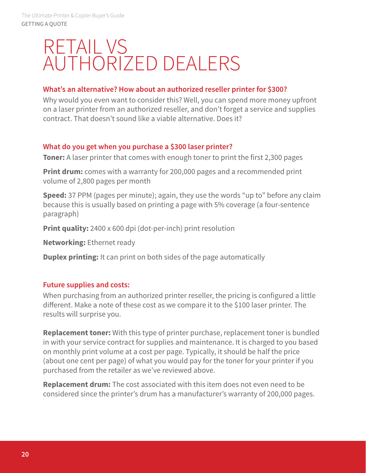#### **What's an alternative? How about an authorized reseller printer for \$300?**

Why would you even want to consider this? Well, you can spend more money upfront on a laser printer from an authorized reseller, and don't forget a service and supplies contract. That doesn't sound like a viable alternative. Does it?

#### **What do you get when you purchase a \$300 laser printer?**

**Toner:** A laser printer that comes with enough toner to print the first 2,300 pages

**Print drum:** comes with a warranty for 200,000 pages and a recommended print volume of 2,800 pages per month

**Speed:** 37 PPM (pages per minute); again, they use the words "up to" before any claim because this is usually based on printing a page with 5% coverage (a four-sentence paragraph)

**Print quality:** 2400 x 600 dpi (dot-per-inch) print resolution

**Networking:** Ethernet ready

**Duplex printing:** It can print on both sides of the page automatically

#### **Future supplies and costs:**

When purchasing from an authorized printer reseller, the pricing is configured a little different. Make a note of these cost as we compare it to the \$100 laser printer. The results will surprise you.

**Replacement toner:** With this type of printer purchase, replacement toner is bundled in with your service contract for supplies and maintenance. It is charged to you based on monthly print volume at a cost per page. Typically, it should be half the price (about one cent per page) of what you would pay for the toner for your printer if you purchased from the retailer as we've reviewed above.

**Replacement drum:** The cost associated with this item does not even need to be considered since the printer's drum has a manufacturer's warranty of 200,000 pages.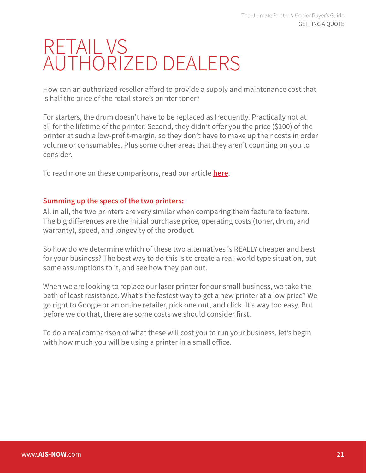How can an authorized reseller afford to provide a supply and maintenance cost that is half the price of the retail store's printer toner?

For starters, the drum doesn't have to be replaced as frequently. Practically not at all for the lifetime of the printer. Second, they didn't offer you the price (\$100) of the printer at such a low-profit-margin, so they don't have to make up their costs in order volume or consumables. Plus some other areas that they aren't counting on you to consider.

To read more on these comparisons, read our article **[here](https://www.ais-now.com/blog/laser-printer-repair-vs.-purchasing-a-new-printer)**.

#### **Summing up the specs of the two printers:**

All in all, the two printers are very similar when comparing them feature to feature. The big differences are the initial purchase price, operating costs (toner, drum, and warranty), speed, and longevity of the product.

So how do we determine which of these two alternatives is REALLY cheaper and best for your business? The best way to do this is to create a real-world type situation, put some assumptions to it, and see how they pan out.

When we are looking to replace our laser printer for our small business, we take the path of least resistance. What's the fastest way to get a new printer at a low price? We go right to Google or an online retailer, pick one out, and click. It's way too easy. But before we do that, there are some costs we should consider first.

To do a real comparison of what these will cost you to run your business, let's begin with how much you will be using a printer in a small office.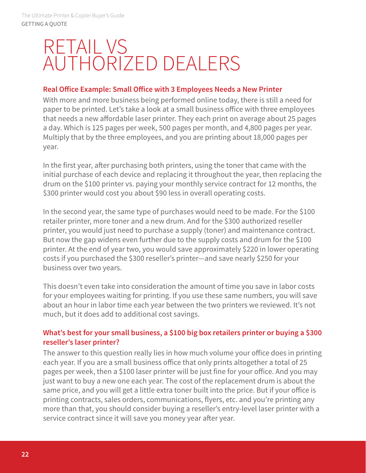#### **Real Office Example: Small Office with 3 Employees Needs a New Printer**

With more and more business being performed online today, there is still a need for paper to be printed. Let's take a look at a small business office with three employees that needs a new affordable laser printer. They each print on average about 25 pages a day. Which is 125 pages per week, 500 pages per month, and 4,800 pages per year. Multiply that by the three employees, and you are printing about 18,000 pages per year.

In the first year, after purchasing both printers, using the toner that came with the initial purchase of each device and replacing it throughout the year, then replacing the drum on the \$100 printer vs. paying your monthly service contract for 12 months, the \$300 printer would cost you about \$90 less in overall operating costs.

In the second year, the same type of purchases would need to be made. For the \$100 retailer printer, more toner and a new drum. And for the \$300 authorized reseller printer, you would just need to purchase a supply (toner) and maintenance contract. But now the gap widens even further due to the supply costs and drum for the \$100 printer. At the end of year two, you would save approximately \$220 in lower operating costs if you purchased the \$300 reseller's printer—and save nearly \$250 for your business over two years.

This doesn't even take into consideration the amount of time you save in labor costs for your employees waiting for printing. If you use these same numbers, you will save about an hour in labor time each year between the two printers we reviewed. It's not much, but it does add to additional cost savings.

#### **What's best for your small business, a \$100 big box retailers printer or buying a \$300 reseller's laser printer?**

The answer to this question really lies in how much volume your office does in printing each year. If you are a small business office that only prints altogether a total of 25 pages per week, then a \$100 laser printer will be just fine for your office. And you may just want to buy a new one each year. The cost of the replacement drum is about the same price, and you will get a little extra toner built into the price. But if your office is printing contracts, sales orders, communications, flyers, etc. and you're printing any more than that, you should consider buying a reseller's entry-level laser printer with a service contract since it will save you money year after year.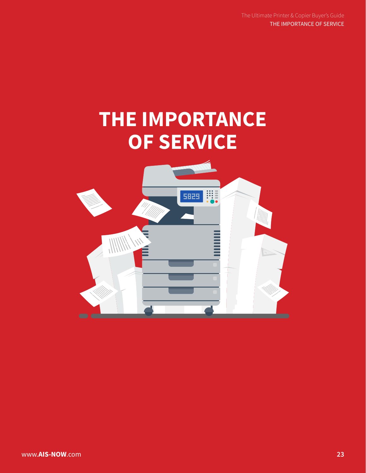The Ultimate Printer & Copier Buyer's Guide THE IMPORTANCE OF SERVICE

## **THE IMPORTANCE OF SERVICE**

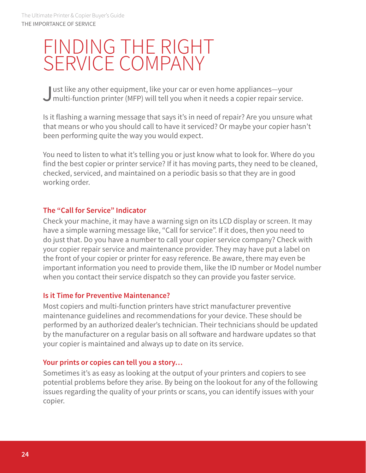### FINDING THE RIGHT SERVICE COMPANY

Just like any other equipment, like your car or even home appliances—your multi-function printer (MFP) will tell you when it needs a copier repair service.

Is it flashing a warning message that says it's in need of repair? Are you unsure what that means or who you should call to have it serviced? Or maybe your copier hasn't been performing quite the way you would expect.

You need to listen to what it's telling you or just know what to look for. Where do you find the best copier or printer service? If it has moving parts, they need to be cleaned, checked, serviced, and maintained on a periodic basis so that they are in good working order.

#### **The "Call for Service" Indicator**

Check your machine, it may have a warning sign on its LCD display or screen. It may have a simple warning message like, "Call for service". If it does, then you need to do just that. Do you have a number to call your copier service company? Check with your copier repair service and maintenance provider. They may have put a label on the front of your copier or printer for easy reference. Be aware, there may even be important information you need to provide them, like the ID number or Model number when you contact their service dispatch so they can provide you faster service.

#### **Is it Time for Preventive Maintenance?**

Most copiers and multi-function printers have strict manufacturer preventive maintenance guidelines and recommendations for your device. These should be performed by an authorized dealer's technician. Their technicians should be updated by the manufacturer on a regular basis on all software and hardware updates so that your copier is maintained and always up to date on its service.

#### **Your prints or copies can tell you a story…**

Sometimes it's as easy as looking at the output of your printers and copiers to see potential problems before they arise. By being on the lookout for any of the following issues regarding the quality of your prints or scans, you can identify issues with your copier.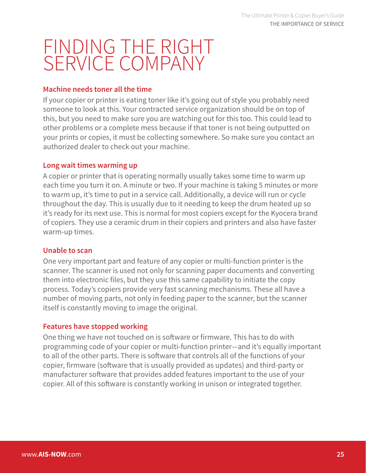## FINDING THE RIGHT SERVICE COMPANY

#### **Machine needs toner all the time**

If your copier or printer is eating toner like it's going out of style you probably need someone to look at this. Your contracted service organization should be on top of this, but you need to make sure you are watching out for this too. This could lead to other problems or a complete mess because if that toner is not being outputted on your prints or copies, it must be collecting somewhere. So make sure you contact an authorized dealer to check out your machine.

#### **Long wait times warming up**

A copier or printer that is operating normally usually takes some time to warm up each time you turn it on. A minute or two. If your machine is taking 5 minutes or more to warm up, it's time to put in a service call. Additionally, a device will run or cycle throughout the day. This is usually due to it needing to keep the drum heated up so it's ready for its next use. This is normal for most copiers except for the Kyocera brand of copiers. They use a ceramic drum in their copiers and printers and also have faster warm-up times.

#### **Unable to scan**

One very important part and feature of any copier or multi-function printer is the scanner. The scanner is used not only for scanning paper documents and converting them into electronic files, but they use this same capability to initiate the copy process. Today's copiers provide very fast scanning mechanisms. These all have a number of moving parts, not only in feeding paper to the scanner, but the scanner itself is constantly moving to image the original.

#### **Features have stopped working**

One thing we have not touched on is software or firmware. This has to do with programming code of your copier or multi-function printer—and it's equally important to all of the other parts. There is software that controls all of the functions of your copier, firmware (software that is usually provided as updates) and third-party or manufacturer software that provides added features important to the use of your copier. All of this software is constantly working in unison or integrated together.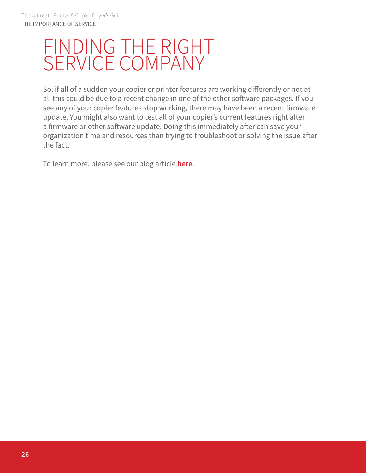### FINDING THE RIGHT SERVICE COMPANY

So, if all of a sudden your copier or printer features are working differently or not at all this could be due to a recent change in one of the other software packages. If you see any of your copier features stop working, there may have been a recent firmware update. You might also want to test all of your copier's current features right after a firmware or other software update. Doing this immediately after can save your organization time and resources than trying to troubleshoot or solving the issue after the fact.

To learn more, please see our blog article **[here](https://www.ais-now.com/blog/who-provides-the-best-copier-or-printer-repair-service)**.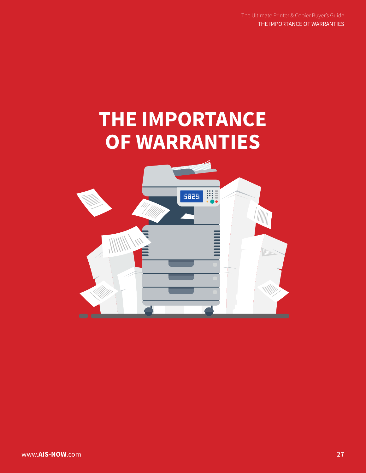The Ultimate Printer & Copier Buyer's Guide THE IMPORTANCE OF WARRANTIES

## **THE IMPORTANCE OF WARRANTIES**

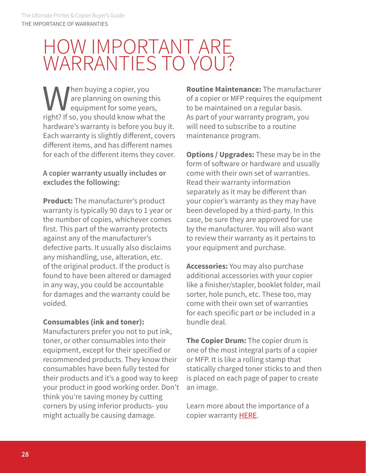### HOW IMPORTANT ARE WARRANTIES TO YOU?

When buying a copier, you<br>are planning on owning to<br>equipment for some year<br>right? If so, you should know what are planning on owning this equipment for some years, right? If so, you should know what the hardware's warranty is before you buy it. Each warranty is slightly different, covers different items, and has different names for each of the different items they cover.

#### **A copier warranty usually includes or excludes the following:**

**Product:** The manufacturer's product warranty is typically 90 days to 1 year or the number of copies, whichever comes first. This part of the warranty protects against any of the manufacturer's defective parts. It usually also disclaims any mishandling, use, alteration, etc. of the original product. If the product is found to have been altered or damaged in any way, you could be accountable for damages and the warranty could be voided.

#### **Consumables (ink and toner):**

Manufacturers prefer you not to put ink, toner, or other consumables into their equipment, except for their specified or recommended products. They know their consumables have been fully tested for their products and it's a good way to keep your product in good working order. Don't think you're saving money by cutting corners by using inferior products- you might actually be causing damage.

**Routine Maintenance:** The manufacturer of a copier or MFP requires the equipment to be maintained on a regular basis. As part of your warranty program, you will need to subscribe to a routine maintenance program.

**Options / Upgrades:** These may be in the form of software or hardware and usually come with their own set of warranties. Read their warranty information separately as it may be different than your copier's warranty as they may have been developed by a third-party. In this case, be sure they are approved for use by the manufacturer. You will also want to review their warranty as it pertains to your equipment and purchase.

**Accessories:** You may also purchase additional accessories with your copier like a finisher/stapler, booklet folder, mail sorter, hole punch, etc. These too, may come with their own set of warranties for each specific part or be included in a bundle deal.

**The Copier Drum:** The copier drum is one of the most integral parts of a copier or MFP. It is like a rolling stamp that statically charged toner sticks to and then is placed on each page of paper to create an image.

Learn more about the importance of a copier warranty [HERE.](https://www.ais-now.com/blog/copier-warranty-are-all-copier-warranties-equal)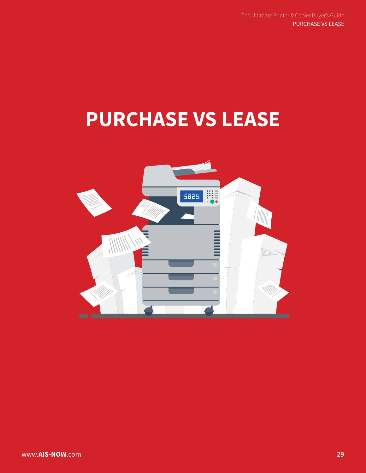## **PURCHASE VS LEASE**

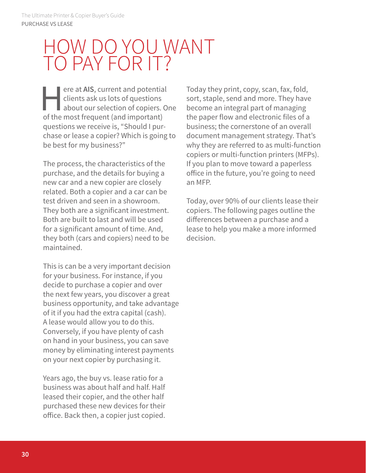ere at AIS, current and potential<br>clients ask us lots of questions<br>about our selection of copiers. On the most frequent (and important) clients ask us lots of questions about our selection of copiers. One of the most frequent (and important) questions we receive is, "Should I purchase or lease a copier? Which is going to be best for my business?"

The process, the characteristics of the purchase, and the details for buying a new car and a new copier are closely related. Both a copier and a car can be test driven and seen in a showroom. They both are a significant investment. Both are built to last and will be used for a significant amount of time. And, they both (cars and copiers) need to be maintained.

This is can be a very important decision for your business. For instance, if you decide to purchase a copier and over the next few years, you discover a great business opportunity, and take advantage of it if you had the extra capital (cash). A lease would allow you to do this. Conversely, if you have plenty of cash on hand in your business, you can save money by eliminating interest payments on your next copier by purchasing it.

Years ago, the buy vs. lease ratio for a business was about half and half. Half leased their copier, and the other half purchased these new devices for their office. Back then, a copier just copied.

Today they print, copy, scan, fax, fold, sort, staple, send and more. They have become an integral part of managing the paper flow and electronic files of a business; the cornerstone of an overall document management strategy. That's why they are referred to as multi-function copiers or multi-function printers (MFPs). If you plan to move toward a paperless office in the future, you're going to need an MFP.

Today, over 90% of our clients lease their copiers. The following pages outline the differences between a purchase and a lease to help you make a more informed decision.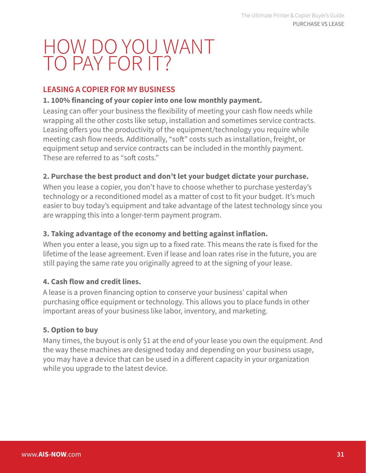#### **LEASING A COPIER FOR MY BUSINESS**

#### **1. 100% financing of your copier into one low monthly payment.**

Leasing can offer your business the flexibility of meeting your cash flow needs while wrapping all the other costs like setup, installation and sometimes service contracts. Leasing offers you the productivity of the equipment/technology you require while meeting cash flow needs. Additionally, "soft" costs such as installation, freight, or equipment setup and service contracts can be included in the monthly payment. These are referred to as "soft costs."

#### **2. Purchase the best product and don't let your budget dictate your purchase.**

When you lease a copier, you don't have to choose whether to purchase yesterday's technology or a reconditioned model as a matter of cost to fit your budget. It's much easier to buy today's equipment and take advantage of the latest technology since you are wrapping this into a longer-term payment program.

#### **3. Taking advantage of the economy and betting against inflation.**

When you enter a lease, you sign up to a fixed rate. This means the rate is fixed for the lifetime of the lease agreement. Even if lease and loan rates rise in the future, you are still paying the same rate you originally agreed to at the signing of your lease.

#### **4. Cash flow and credit lines.**

A lease is a proven financing option to conserve your business' capital when purchasing office equipment or technology. This allows you to place funds in other important areas of your business like labor, inventory, and marketing.

#### **5. Option to buy**

Many times, the buyout is only \$1 at the end of your lease you own the equipment. And the way these machines are designed today and depending on your business usage, you may have a device that can be used in a different capacity in your organization while you upgrade to the latest device.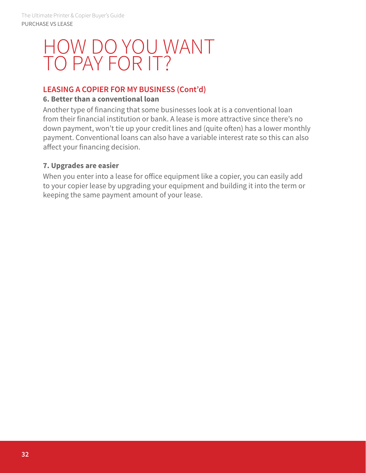#### **LEASING A COPIER FOR MY BUSINESS (Cont'd)**

#### **6. Better than a conventional loan**

Another type of financing that some businesses look at is a conventional loan from their financial institution or bank. A lease is more attractive since there's no down payment, won't tie up your credit lines and (quite often) has a lower monthly payment. Conventional loans can also have a variable interest rate so this can also affect your financing decision.

#### **7. Upgrades are easier**

When you enter into a lease for office equipment like a copier, you can easily add to your copier lease by upgrading your equipment and building it into the term or keeping the same payment amount of your lease.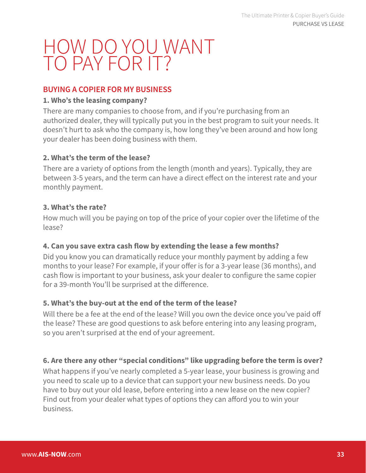#### **BUYING A COPIER FOR MY BUSINESS**

#### **1. Who's the leasing company?**

There are many companies to choose from, and if you're purchasing from an authorized dealer, they will typically put you in the best program to suit your needs. It doesn't hurt to ask who the company is, how long they've been around and how long your dealer has been doing business with them.

#### **2. What's the term of the lease?**

There are a variety of options from the length (month and years). Typically, they are between 3-5 years, and the term can have a direct effect on the interest rate and your monthly payment.

#### **3. What's the rate?**

How much will you be paying on top of the price of your copier over the lifetime of the lease?

#### **4. Can you save extra cash flow by extending the lease a few months?**

Did you know you can dramatically reduce your monthly payment by adding a few months to your lease? For example, if your offer is for a 3-year lease (36 months), and cash flow is important to your business, ask your dealer to configure the same copier for a 39-month You'll be surprised at the difference.

#### **5. What's the buy-out at the end of the term of the lease?**

Will there be a fee at the end of the lease? Will you own the device once you've paid off the lease? These are good questions to ask before entering into any leasing program, so you aren't surprised at the end of your agreement.

#### **6. Are there any other "special conditions" like upgrading before the term is over?**

What happens if you've nearly completed a 5-year lease, your business is growing and you need to scale up to a device that can support your new business needs. Do you have to buy out your old lease, before entering into a new lease on the new copier? Find out from your dealer what types of options they can afford you to win your business.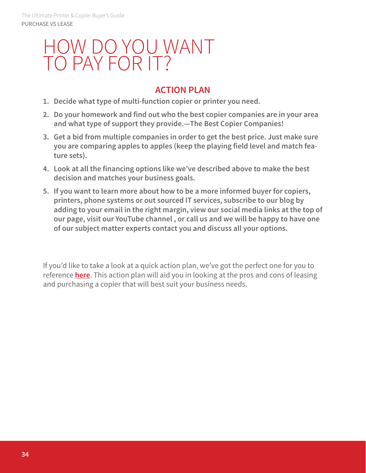#### **ACTION PLAN**

- **1. Decide what type of multi-function copier or printer you need.**
- **2. Do your homework and find out who the best copier companies are in your area and what type of support they provide.—The Best Copier Companies!**
- **3. Get a bid from multiple companies in order to get the best price. Just make sure you are comparing apples to apples (keep the playing field level and match feature sets).**
- **4. Look at all the financing options like we've described above to make the best decision and matches your business goals.**
- **5. If you want to learn more about how to be a more informed buyer for copiers, printers, phone systems or out sourced IT services, subscribe to our blog by adding to your email in the right margin, view our social media links at the top of our page, visit our YouTube channel , or call us and we will be happy to have one of our subject matter experts contact you and discuss all your options.**

If you'd like to take a look at a quick action plan, we've got the perfect one for you to reference **here**. This action plan will aid you in looking at the pros and cons of leasing and purchasing a copier that will best suit your business needs.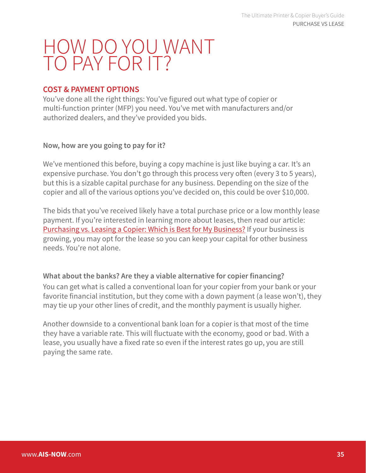#### **COST & PAYMENT OPTIONS**

You've done all the right things: You've figured out what type of copier or multi-function printer (MFP) you need. You've met with manufacturers and/or authorized dealers, and they've provided you bids.

#### **Now, how are you going to pay for it?**

We've mentioned this before, buying a copy machine is just like buying a car. It's an expensive purchase. You don't go through this process very often (every 3 to 5 years), but this is a sizable capital purchase for any business. Depending on the size of the copier and all of the various options you've decided on, this could be over \$10,000.

The bids that you've received likely have a total purchase price or a low monthly lease payment. If you're interested in learning more about leases, then read our article: [Purchasing vs. Leasing a Copier: Which is Best for My Business?](https://www.ais-now.com/blog/purchasing-vs.-leasing-a-copier-which-is-best-for-my-business) If your business is growing, you may opt for the lease so you can keep your capital for other business needs. You're not alone.

#### **What about the banks? Are they a viable alternative for copier financing?**

You can get what is called a conventional loan for your copier from your bank or your favorite financial institution, but they come with a down payment (a lease won't), they may tie up your other lines of credit, and the monthly payment is usually higher.

Another downside to a conventional bank loan for a copier is that most of the time they have a variable rate. This will fluctuate with the economy, good or bad. With a lease, you usually have a fixed rate so even if the interest rates go up, you are still paying the same rate.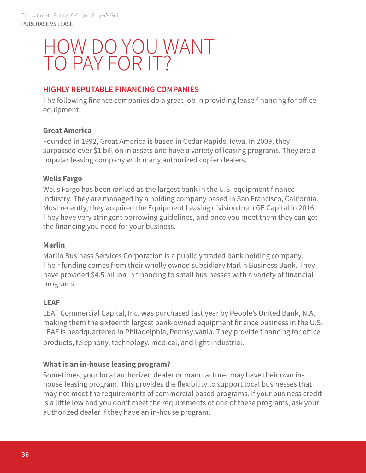#### **HIGHLY REPUTABLE FINANCING COMPANIES**

The following finance companies do a great job in providing lease financing for office equipment.

#### **Great America**

Founded in 1992, Great America is based in Cedar Rapids, Iowa. In 2009, they surpassed over \$1 billion in assets and have a variety of leasing programs. They are a popular leasing company with many authorized copier dealers.

#### **Wells Fargo**

Wells Fargo has been ranked as the largest bank in the U.S. equipment finance industry. They are managed by a holding company based in San Francisco, California. Most recently, they acquired the Equipment Leasing division from GE Capital in 2016. They have very stringent borrowing guidelines, and once you meet them they can get the financing you need for your business.

#### **Marlin**

Marlin Business Services Corporation is a publicly traded bank holding company. Their funding comes from their wholly owned subsidiary Marlin Business Bank. They have provided \$4.5 billion in financing to small businesses with a variety of financial programs.

#### **LEAF**

LEAF Commercial Capital, Inc. was purchased last year by People's United Bank, N.A. making them the sixteenth largest bank-owned equipment finance business in the U.S. LEAF is headquartered in Philadelphia, Pennsylvania. They provide financing for office products, telephony, technology, medical, and light industrial.

#### **What is an in-house leasing program?**

Sometimes, your local authorized dealer or manufacturer may have their own inhouse leasing program. This provides the flexibility to support local businesses that may not meet the requirements of commercial based programs. If your business credit is a little low and you don't meet the requirements of one of these programs, ask your authorized dealer if they have an in-house program.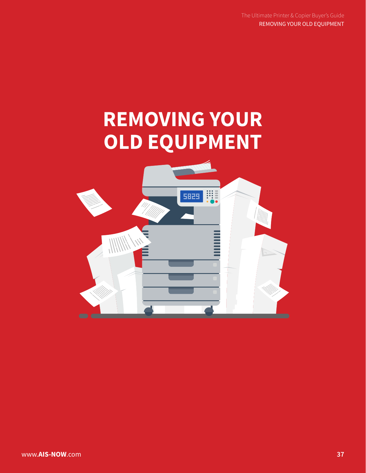## **REMOVING YOUR OLD EQUIPMENT**

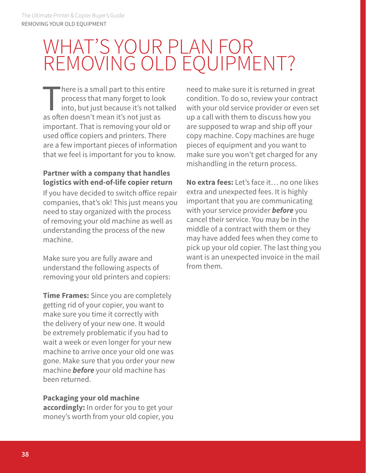### WHAT'S YOUR PLAN FOR REMOVING OLD EQUIPMENT?

"here is a small part to this entire process that many forget to look into, but just because it's not talked as often doesn't mean it's not just as important. That is removing your old or used office copiers and printers. There are a few important pieces of information that we feel is important for you to know.

#### **Partner with a company that handles logistics with end-of-life copier return**

If you have decided to switch office repair companies, that's ok! This just means you need to stay organized with the process of removing your old machine as well as understanding the process of the new machine.

Make sure you are fully aware and understand the following aspects of removing your old printers and copiers:

**Time Frames:** Since you are completely getting rid of your copier, you want to make sure you time it correctly with the delivery of your new one. It would be extremely problematic if you had to wait a week or even longer for your new machine to arrive once your old one was gone. Make sure that you order your new machine *before* your old machine has been returned.

#### **Packaging your old machine**

**accordingly:** In order for you to get your money's worth from your old copier, you need to make sure it is returned in great condition. To do so, review your contract with your old service provider or even set up a call with them to discuss how you are supposed to wrap and ship off your copy machine. Copy machines are huge pieces of equipment and you want to make sure you won't get charged for any mishandling in the return process.

**No extra fees:** Let's face it… no one likes extra and unexpected fees. It is highly important that you are communicating with your service provider *before* you cancel their service. You may be in the middle of a contract with them or they may have added fees when they come to pick up your old copier. The last thing you want is an unexpected invoice in the mail from them.